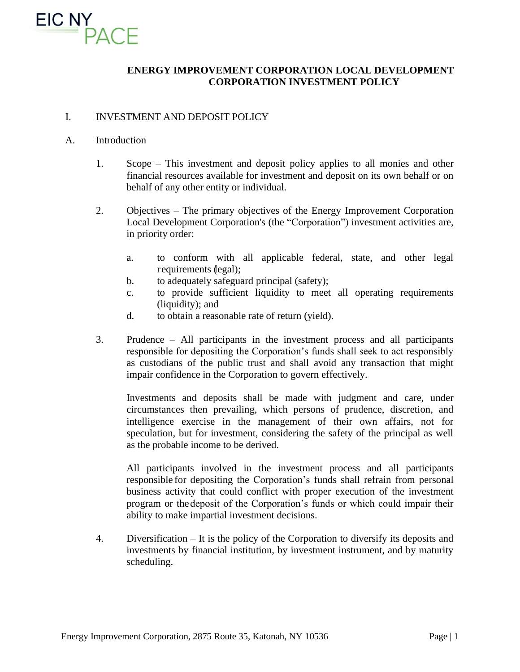

## **ENERGY IMPROVEMENT CORPORATION LOCAL DEVELOPMENT CORPORATION INVESTMENT POLICY**

### I. INVESTMENT AND DEPOSIT POLICY

#### A. Introduction

- 1. Scope This investment and deposit policy applies to all monies and other financial resources available for investment and deposit on its own behalf or on behalf of any other entity or individual.
- 2. Objectives The primary objectives of the Energy Improvement Corporation Local Development Corporation's (the "Corporation") investment activities are, in priority order:
	- a. to conform with all applicable federal, state, and other legal requirements (legal);
	- b. to adequately safeguard principal (safety);
	- c. to provide sufficient liquidity to meet all operating requirements (liquidity); and
	- d. to obtain a reasonable rate of return (yield).
- 3. Prudence All participants in the investment process and all participants responsible for depositing the Corporation's funds shall seek to act responsibly as custodians of the public trust and shall avoid any transaction that might impair confidence in the Corporation to govern effectively.

Investments and deposits shall be made with judgment and care, under circumstances then prevailing, which persons of prudence, discretion, and intelligence exercise in the management of their own affairs, not for speculation, but for investment, considering the safety of the principal as well as the probable income to be derived.

All participants involved in the investment process and all participants responsible for depositing the Corporation's funds shall refrain from personal business activity that could conflict with proper execution of the investment program or thedeposit of the Corporation's funds or which could impair their ability to make impartial investment decisions.

4. Diversification – It is the policy of the Corporation to diversify its deposits and investments by financial institution, by investment instrument, and by maturity scheduling.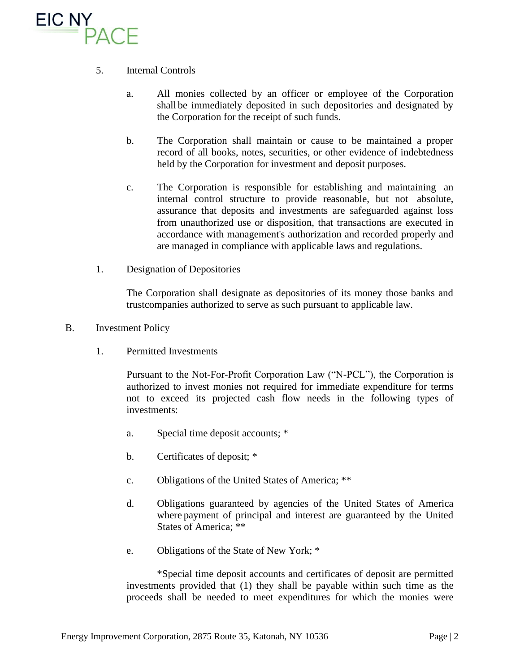

### 5. Internal Controls

- a. All monies collected by an officer or employee of the Corporation shall be immediately deposited in such depositories and designated by the Corporation for the receipt of such funds.
- b. The Corporation shall maintain or cause to be maintained a proper record of all books, notes, securities, or other evidence of indebtedness held by the Corporation for investment and deposit purposes.
- c. The Corporation is responsible for establishing and maintaining an internal control structure to provide reasonable, but not absolute, assurance that deposits and investments are safeguarded against loss from unauthorized use or disposition, that transactions are executed in accordance with management's authorization and recorded properly and are managed in compliance with applicable laws and regulations.
- 1. Designation of Depositories

The Corporation shall designate as depositories of its money those banks and trustcompanies authorized to serve as such pursuant to applicable law.

- B. Investment Policy
	- 1. Permitted Investments

Pursuant to the Not-For-Profit Corporation Law ("N-PCL"), the Corporation is authorized to invest monies not required for immediate expenditure for terms not to exceed its projected cash flow needs in the following types of investments:

- a. Special time deposit accounts; \*
- b. Certificates of deposit; \*
- c. Obligations of the United States of America; \*\*
- d. Obligations guaranteed by agencies of the United States of America where payment of principal and interest are guaranteed by the United States of America; \*\*
- e. Obligations of the State of New York; \*

\*Special time deposit accounts and certificates of deposit are permitted investments provided that (1) they shall be payable within such time as the proceeds shall be needed to meet expenditures for which the monies were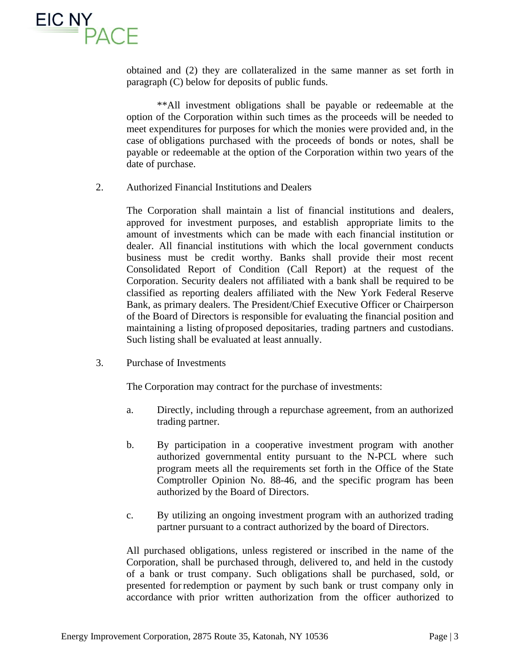

obtained and (2) they are collateralized in the same manner as set forth in paragraph (C) below for deposits of public funds.

\*\*All investment obligations shall be payable or redeemable at the option of the Corporation within such times as the proceeds will be needed to meet expenditures for purposes for which the monies were provided and, in the case of obligations purchased with the proceeds of bonds or notes, shall be payable or redeemable at the option of the Corporation within two years of the date of purchase.

2. Authorized Financial Institutions and Dealers

The Corporation shall maintain a list of financial institutions and dealers, approved for investment purposes, and establish appropriate limits to the amount of investments which can be made with each financial institution or dealer. All financial institutions with which the local government conducts business must be credit worthy. Banks shall provide their most recent Consolidated Report of Condition (Call Report) at the request of the Corporation. Security dealers not affiliated with a bank shall be required to be classified as reporting dealers affiliated with the New York Federal Reserve Bank, as primary dealers. The President/Chief Executive Officer or Chairperson of the Board of Directors is responsible for evaluating the financial position and maintaining a listing ofproposed depositaries, trading partners and custodians. Such listing shall be evaluated at least annually.

3. Purchase of Investments

The Corporation may contract for the purchase of investments:

- a. Directly, including through a repurchase agreement, from an authorized trading partner.
- b. By participation in a cooperative investment program with another authorized governmental entity pursuant to the N-PCL where such program meets all the requirements set forth in the Office of the State Comptroller Opinion No. 88-46, and the specific program has been authorized by the Board of Directors.
- c. By utilizing an ongoing investment program with an authorized trading partner pursuant to a contract authorized by the board of Directors.

All purchased obligations, unless registered or inscribed in the name of the Corporation, shall be purchased through, delivered to, and held in the custody of a bank or trust company. Such obligations shall be purchased, sold, or presented for redemption or payment by such bank or trust company only in accordance with prior written authorization from the officer authorized to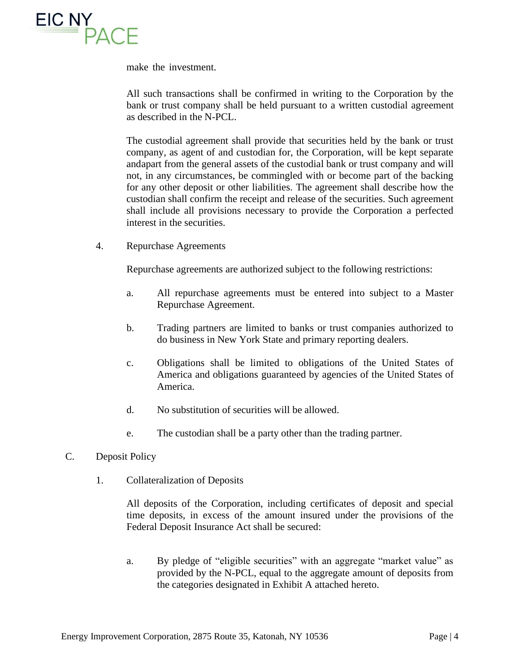

make the investment.

All such transactions shall be confirmed in writing to the Corporation by the bank or trust company shall be held pursuant to a written custodial agreement as described in the N-PCL.

The custodial agreement shall provide that securities held by the bank or trust company, as agent of and custodian for, the Corporation, will be kept separate andapart from the general assets of the custodial bank or trust company and will not, in any circumstances, be commingled with or become part of the backing for any other deposit or other liabilities. The agreement shall describe how the custodian shall confirm the receipt and release of the securities. Such agreement shall include all provisions necessary to provide the Corporation a perfected interest in the securities.

4. Repurchase Agreements

Repurchase agreements are authorized subject to the following restrictions:

- a. All repurchase agreements must be entered into subject to a Master Repurchase Agreement.
- b. Trading partners are limited to banks or trust companies authorized to do business in New York State and primary reporting dealers.
- c. Obligations shall be limited to obligations of the United States of America and obligations guaranteed by agencies of the United States of America.
- d. No substitution of securities will be allowed.
- e. The custodian shall be a party other than the trading partner.
- C. Deposit Policy
	- 1. Collateralization of Deposits

All deposits of the Corporation, including certificates of deposit and special time deposits, in excess of the amount insured under the provisions of the Federal Deposit Insurance Act shall be secured:

a. By pledge of "eligible securities" with an aggregate "market value" as provided by the N-PCL, equal to the aggregate amount of deposits from the categories designated in Exhibit A attached hereto.